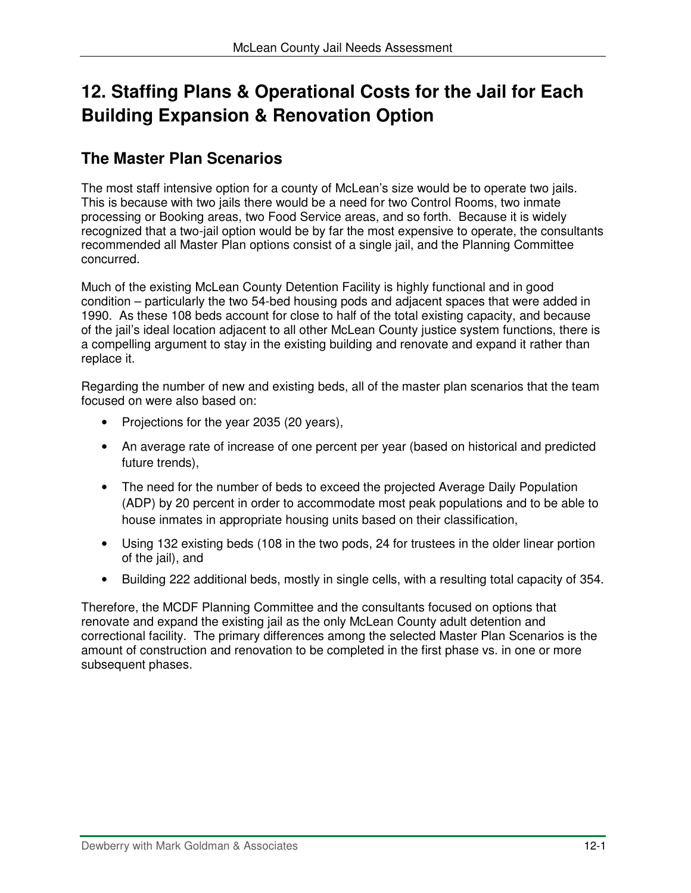# **12. Staffing Plans & Operational Costs for the Jail for Each Building Expansion & Renovation Option**

# **The Master Plan Scenarios**

The most staff intensive option for a county of McLean's size would be to operate two jails. This is because with two jails there would be a need for two Control Rooms, two inmate processing or Booking areas, two Food Service areas, and so forth. Because it is widely recognized that a two-jail option would be by far the most expensive to operate, the consultants recommended all Master Plan options consist of a single jail, and the Planning Committee concurred.

Much of the existing McLean County Detention Facility is highly functional and in good condition – particularly the two 54-bed housing pods and adjacent spaces that were added in 1990. As these 108 beds account for close to half of the total existing capacity, and because of the jail's ideal location adjacent to all other McLean County justice system functions, there is a compelling argument to stay in the existing building and renovate and expand it rather than replace it.

Regarding the number of new and existing beds, all of the master plan scenarios that the team focused on were also based on:

- Projections for the year 2035 (20 years),
- An average rate of increase of one percent per year (based on historical and predicted future trends),
- The need for the number of beds to exceed the projected Average Daily Population (ADP) by 20 percent in order to accommodate most peak populations and to be able to house inmates in appropriate housing units based on their classification,
- Using 132 existing beds (108 in the two pods, 24 for trustees in the older linear portion of the jail), and
- Building 222 additional beds, mostly in single cells, with a resulting total capacity of 354.

Therefore, the MCDF Planning Committee and the consultants focused on options that renovate and expand the existing jail as the only McLean County adult detention and correctional facility. The primary differences among the selected Master Plan Scenarios is the amount of construction and renovation to be completed in the first phase vs. in one or more subsequent phases.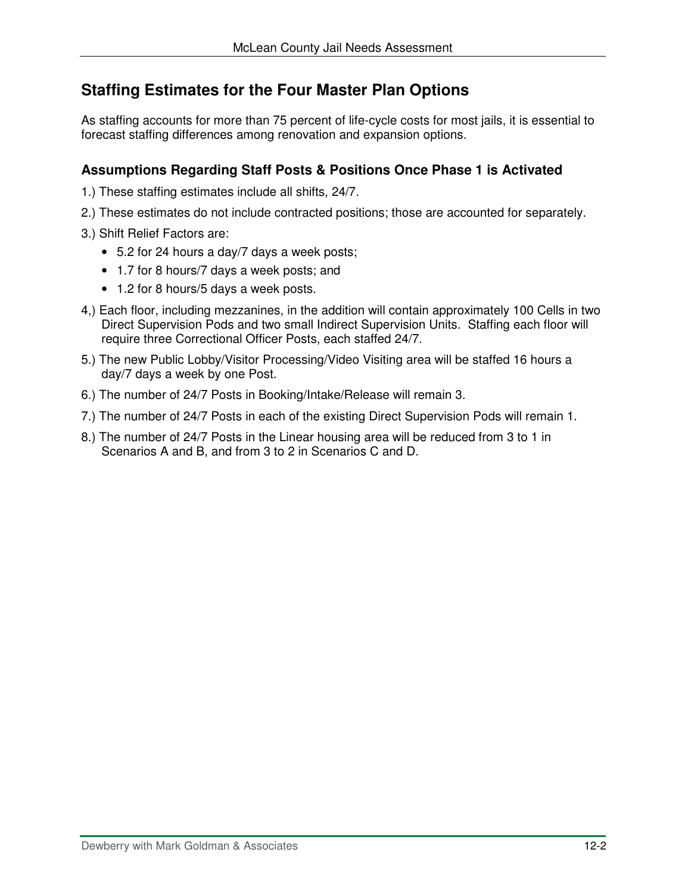# **Staffing Estimates for the Four Master Plan Options**

As staffing accounts for more than 75 percent of life-cycle costs for most jails, it is essential to forecast staffing differences among renovation and expansion options.

### **Assumptions Regarding Staff Posts & Positions Once Phase 1 is Activated**

- 1.) These staffing estimates include all shifts, 24/7.
- 2.) These estimates do not include contracted positions; those are accounted for separately.
- 3.) Shift Relief Factors are:
	- 5.2 for 24 hours a day/7 days a week posts;
	- 1.7 for 8 hours/7 days a week posts; and
	- 1.2 for 8 hours/5 days a week posts.
- 4,) Each floor, including mezzanines, in the addition will contain approximately 100 Cells in two Direct Supervision Pods and two small Indirect Supervision Units. Staffing each floor will require three Correctional Officer Posts, each staffed 24/7.
- 5.) The new Public Lobby/Visitor Processing/Video Visiting area will be staffed 16 hours a day/7 days a week by one Post.
- 6.) The number of 24/7 Posts in Booking/Intake/Release will remain 3.
- 7.) The number of 24/7 Posts in each of the existing Direct Supervision Pods will remain 1.
- 8.) The number of 24/7 Posts in the Linear housing area will be reduced from 3 to 1 in Scenarios A and B, and from 3 to 2 in Scenarios C and D.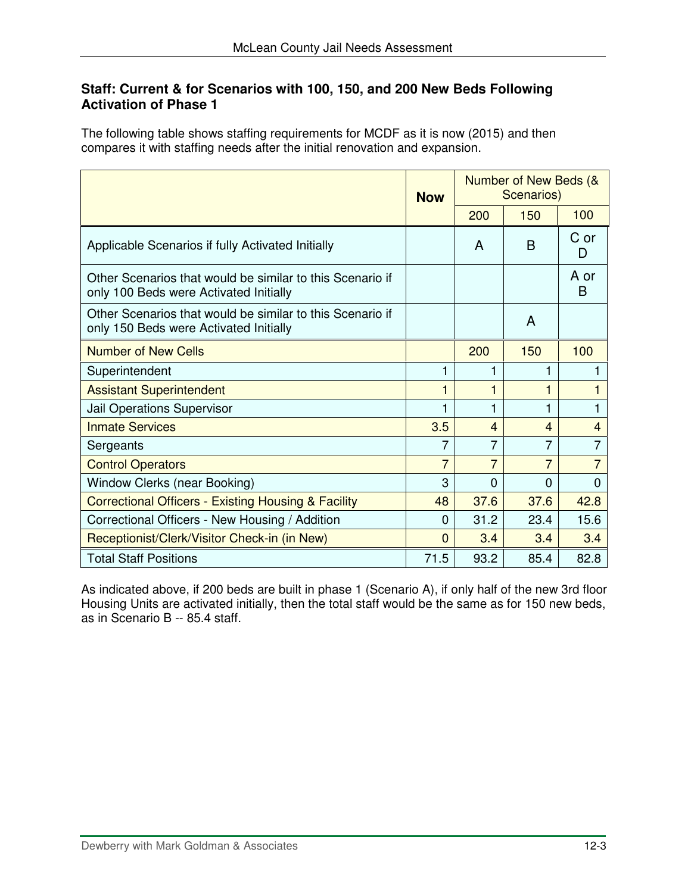#### **Staff: Current & for Scenarios with 100, 150, and 200 New Beds Following Activation of Phase 1**

The following table shows staffing requirements for MCDF as it is now (2015) and then compares it with staffing needs after the initial renovation and expansion.

|                                                                                                     | <b>Now</b> | Number of New Beds (&<br>Scenarios) |                |           |
|-----------------------------------------------------------------------------------------------------|------------|-------------------------------------|----------------|-----------|
|                                                                                                     |            | 200                                 | 150            | 100       |
| Applicable Scenarios if fully Activated Initially                                                   |            | A                                   | B              | C or<br>D |
| Other Scenarios that would be similar to this Scenario if<br>only 100 Beds were Activated Initially |            |                                     |                | A or<br>B |
| Other Scenarios that would be similar to this Scenario if<br>only 150 Beds were Activated Initially |            |                                     | A              |           |
| <b>Number of New Cells</b>                                                                          |            | 200                                 | 150            | 100       |
| Superintendent                                                                                      |            | 1                                   |                |           |
| <b>Assistant Superintendent</b>                                                                     |            | 1                                   |                | 1         |
| Jail Operations Supervisor                                                                          |            | 1                                   |                | 1         |
| <b>Inmate Services</b>                                                                              | 3.5        | $\overline{4}$                      | $\overline{4}$ | 4         |
| Sergeants                                                                                           | 7          | $\overline{7}$                      | 7              | 7         |
| <b>Control Operators</b>                                                                            | 7          | 7                                   | 7              | 7         |
| Window Clerks (near Booking)                                                                        | 3          | $\Omega$                            | $\Omega$       | $\Omega$  |
| <b>Correctional Officers - Existing Housing &amp; Facility</b>                                      | 48         | 37.6                                | 37.6           | 42.8      |
| Correctional Officers - New Housing / Addition                                                      | $\Omega$   | 31.2                                | 23.4           | 15.6      |
| Receptionist/Clerk/Visitor Check-in (in New)                                                        | $\Omega$   | 3.4                                 | 3.4            | 3.4       |
| <b>Total Staff Positions</b>                                                                        | 71.5       | 93.2                                | 85.4           | 82.8      |

As indicated above, if 200 beds are built in phase 1 (Scenario A), if only half of the new 3rd floor Housing Units are activated initially, then the total staff would be the same as for 150 new beds, as in Scenario B -- 85.4 staff.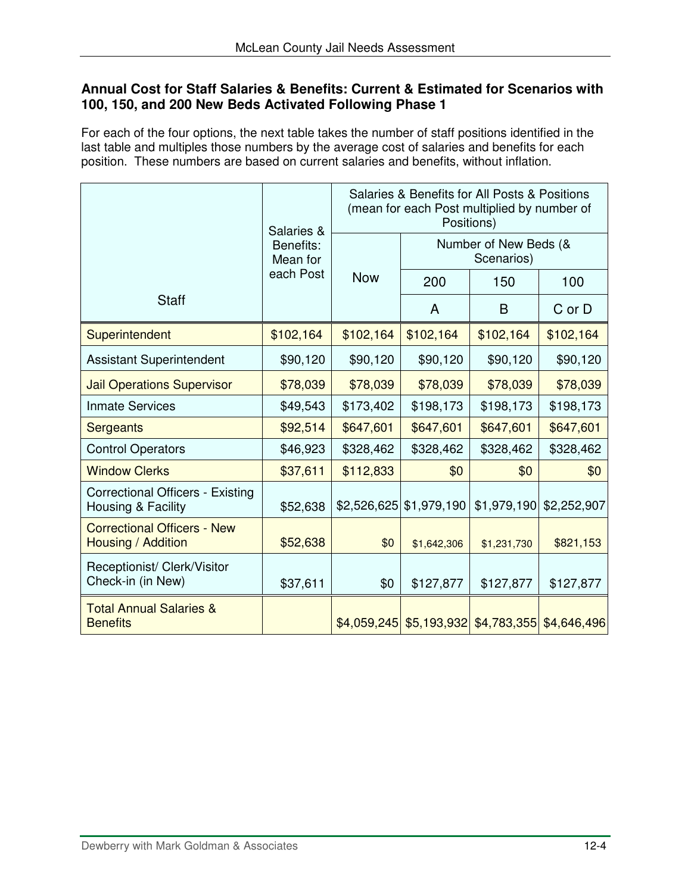#### **Annual Cost for Staff Salaries & Benefits: Current & Estimated for Scenarios with 100, 150, and 200 New Beds Activated Following Phase 1**

For each of the four options, the next table takes the number of staff positions identified in the last table and multiples those numbers by the average cost of salaries and benefits for each position. These numbers are based on current salaries and benefits, without inflation.

|                                                               | Salaries &            |            | Salaries & Benefits for All Posts & Positions<br>(mean for each Post multiplied by number of<br>Positions) |                                                     |             |  |
|---------------------------------------------------------------|-----------------------|------------|------------------------------------------------------------------------------------------------------------|-----------------------------------------------------|-------------|--|
|                                                               | Benefits:<br>Mean for |            |                                                                                                            | Number of New Beds (&<br>Scenarios)                 |             |  |
|                                                               | each Post             | <b>Now</b> | 200                                                                                                        | 150                                                 | 100         |  |
| <b>Staff</b>                                                  |                       |            | A                                                                                                          | B                                                   | C or D      |  |
| Superintendent                                                | \$102,164             | \$102,164  | \$102,164                                                                                                  | \$102,164                                           | \$102,164   |  |
| <b>Assistant Superintendent</b>                               | \$90,120              | \$90,120   | \$90,120                                                                                                   | \$90,120                                            | \$90,120    |  |
| <b>Jail Operations Supervisor</b>                             | \$78,039              | \$78,039   | \$78,039                                                                                                   | \$78,039                                            | \$78,039    |  |
| <b>Inmate Services</b>                                        | \$49,543              | \$173,402  | \$198,173                                                                                                  | \$198,173                                           | \$198,173   |  |
| Sergeants                                                     | \$92,514              | \$647,601  | \$647,601                                                                                                  | \$647,601                                           | \$647,601   |  |
| <b>Control Operators</b>                                      | \$46,923              | \$328,462  | \$328,462                                                                                                  | \$328,462                                           | \$328,462   |  |
| <b>Window Clerks</b>                                          | \$37,611              | \$112,833  | \$0                                                                                                        | \$0                                                 | \$0         |  |
| <b>Correctional Officers - Existing</b><br>Housing & Facility | \$52,638              |            | $$2,526,625$ \\$1,979,190                                                                                  | \$1,979,190                                         | \$2,252,907 |  |
| <b>Correctional Officers - New</b><br>Housing / Addition      | \$52,638              | \$0        | \$1,642,306                                                                                                | \$1,231,730                                         | \$821,153   |  |
| Receptionist/ Clerk/Visitor<br>Check-in (in New)              | \$37,611              | \$0        | \$127,877                                                                                                  | \$127,877                                           | \$127,877   |  |
| <b>Total Annual Salaries &amp;</b><br><b>Benefits</b>         |                       |            |                                                                                                            | $$4,059,245$ $$5,193,932$ $$4,783,355$ $$4,646,496$ |             |  |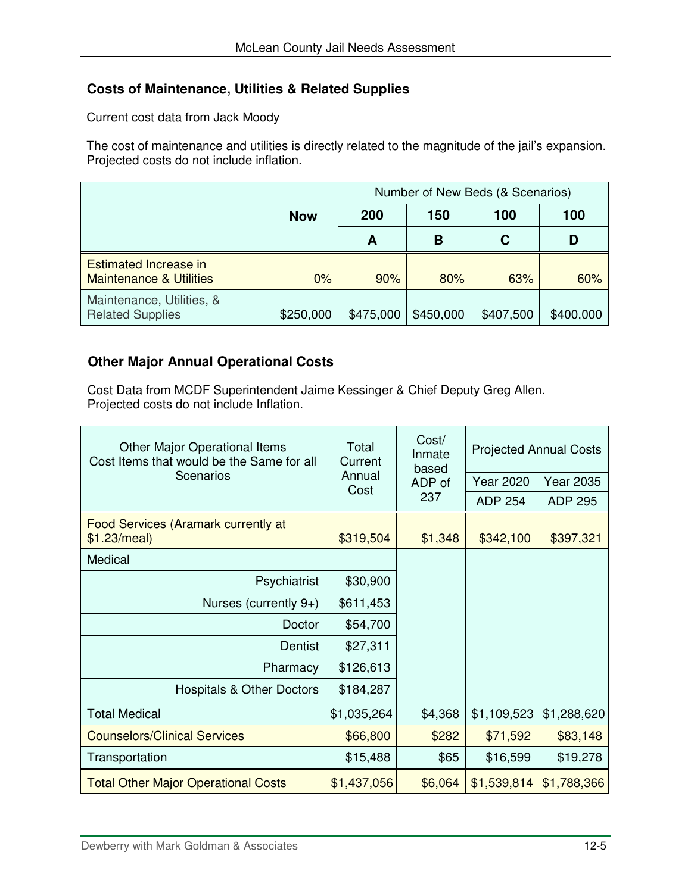# **Costs of Maintenance, Utilities & Related Supplies**

Current cost data from Jack Moody

The cost of maintenance and utilities is directly related to the magnitude of the jail's expansion. Projected costs do not include inflation.

|                                                                    |            | Number of New Beds (& Scenarios) |           |           |           |
|--------------------------------------------------------------------|------------|----------------------------------|-----------|-----------|-----------|
|                                                                    | <b>Now</b> | 200                              | 150       | 100       | 100       |
|                                                                    |            | А                                | В         | C         | D         |
| <b>Estimated Increase in</b><br><b>Maintenance &amp; Utilities</b> | $0\%$      | 90%                              | 80%       | 63%       | 60%       |
| Maintenance, Utilities, &<br><b>Related Supplies</b>               | \$250,000  | \$475,000                        | \$450,000 | \$407,500 | \$400,000 |

# **Other Major Annual Operational Costs**

Cost Data from MCDF Superintendent Jaime Kessinger & Chief Deputy Greg Allen. Projected costs do not include Inflation.

| Other Major Operational Items<br>Cost Items that would be the Same for all | Total<br>Current | Cost/<br>Inmate<br>based | <b>Projected Annual Costs</b> |                  |
|----------------------------------------------------------------------------|------------------|--------------------------|-------------------------------|------------------|
| Scenarios                                                                  | Annual<br>Cost   | ADP of<br>237            | <b>Year 2020</b>              | <b>Year 2035</b> |
|                                                                            |                  |                          | <b>ADP 254</b>                | <b>ADP 295</b>   |
| Food Services (Aramark currently at<br>\$1.23/meal)                        | \$319,504        | \$1,348                  | \$342,100                     | \$397,321        |
| Medical                                                                    |                  |                          |                               |                  |
| Psychiatrist                                                               | \$30,900         |                          |                               |                  |
| Nurses (currently $9+$ )                                                   | \$611,453        |                          |                               |                  |
| Doctor                                                                     | \$54,700         |                          |                               |                  |
| Dentist                                                                    | \$27,311         |                          |                               |                  |
| Pharmacy                                                                   | \$126,613        |                          |                               |                  |
| <b>Hospitals &amp; Other Doctors</b>                                       | \$184,287        |                          |                               |                  |
| <b>Total Medical</b>                                                       | \$1,035,264      | \$4,368                  | \$1,109,523                   | \$1,288,620      |
| <b>Counselors/Clinical Services</b>                                        | \$66,800         | \$282                    | \$71,592                      | \$83,148         |
| Transportation                                                             | \$15,488         | \$65                     | \$16,599                      | \$19,278         |
| <b>Total Other Major Operational Costs</b>                                 | \$1,437,056      | \$6,064                  | \$1,539,814                   | \$1,788,366      |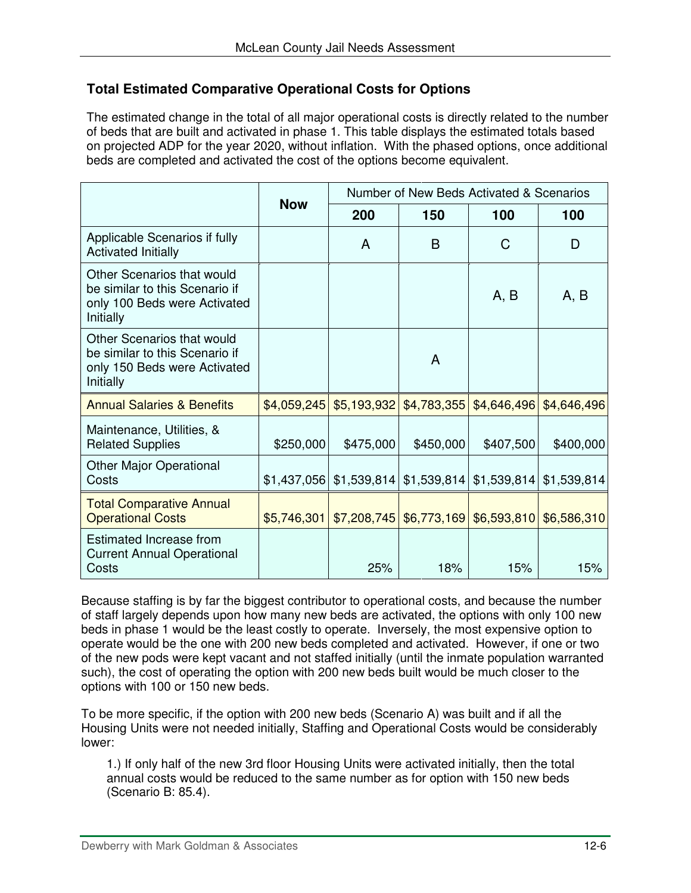## **Total Estimated Comparative Operational Costs for Options**

The estimated change in the total of all major operational costs is directly related to the number of beds that are built and activated in phase 1. This table displays the estimated totals based on projected ADP for the year 2020, without inflation. With the phased options, once additional beds are completed and activated the cost of the options become equivalent.

|                                                                                                           | Number of New Beds Activated & Scenarios |             |             |                                                      |             |
|-----------------------------------------------------------------------------------------------------------|------------------------------------------|-------------|-------------|------------------------------------------------------|-------------|
|                                                                                                           | <b>Now</b>                               | 200<br>150  |             | 100                                                  | 100         |
| Applicable Scenarios if fully<br><b>Activated Initially</b>                                               |                                          | A           | B           | С                                                    | D           |
| Other Scenarios that would<br>be similar to this Scenario if<br>only 100 Beds were Activated<br>Initially |                                          |             |             | A, B                                                 | A, B        |
| Other Scenarios that would<br>be similar to this Scenario if<br>only 150 Beds were Activated<br>Initially |                                          |             | A           |                                                      |             |
| <b>Annual Salaries &amp; Benefits</b>                                                                     | \$4,059,245                              | \$5,193,932 | \$4,783,355 | \$4,646,496                                          | \$4,646,496 |
| Maintenance, Utilities, &<br><b>Related Supplies</b>                                                      | \$250,000                                | \$475,000   | \$450,000   | \$407,500                                            | \$400,000   |
| <b>Other Major Operational</b><br>Costs                                                                   | \$1,437,056                              |             |             | $$1,539,814 \vert $1,539,814 \vert $1,539,814 \vert$ | \$1,539,814 |
| <b>Total Comparative Annual</b><br><b>Operational Costs</b>                                               | \$5,746,301                              |             |             | $$7,208,745$ $$6,773,169$ $$6,593,810$               | \$6,586,310 |
| Estimated Increase from<br><b>Current Annual Operational</b><br>Costs                                     |                                          | 25%         | 18%         | 15%                                                  | 15%         |

Because staffing is by far the biggest contributor to operational costs, and because the number of staff largely depends upon how many new beds are activated, the options with only 100 new beds in phase 1 would be the least costly to operate. Inversely, the most expensive option to operate would be the one with 200 new beds completed and activated. However, if one or two of the new pods were kept vacant and not staffed initially (until the inmate population warranted such), the cost of operating the option with 200 new beds built would be much closer to the options with 100 or 150 new beds.

To be more specific, if the option with 200 new beds (Scenario A) was built and if all the Housing Units were not needed initially, Staffing and Operational Costs would be considerably lower:

1.) If only half of the new 3rd floor Housing Units were activated initially, then the total annual costs would be reduced to the same number as for option with 150 new beds (Scenario B: 85.4).